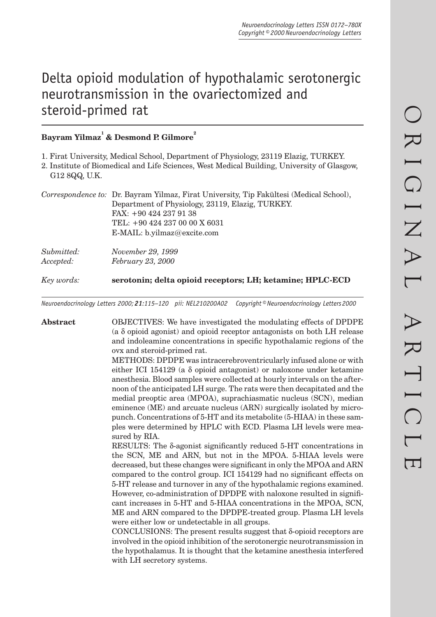# Delta opioid modulation of hypothalamic serotonergic neurotransmission in the ovariectomized and steroid-primed rat

## $\mathbf{Bayram\ Yilmaz}^{^{1}}$  & Desmond P. Gilmore $^{2}$

1. Firat University, Medical School, Department of Physiology, 23119 Elazig, TURKEY.

2. Institute of Biomedical and Life Sciences, West Medical Building, University of Glasgow, G12 8QQ, U.K.

|            | Correspondence to: Dr. Bayram Yilmaz, Firat University, Tip Fakültesi (Medical School),<br>Department of Physiology, 23119, Elazig, TURKEY.<br>FAX: +90 424 237 91 38<br>TEL: +90 424 237 00 00 X 6031 |
|------------|--------------------------------------------------------------------------------------------------------------------------------------------------------------------------------------------------------|
| Submitted: | E-MAIL: b.yilmaz@excite.com<br>November 29, 1999                                                                                                                                                       |

*Accepted: February 23, 2000*

*Key words:* **serotonin; delta opioid receptors; LH; ketamine; HPLC-ECD**

*Neuroendocrinology Letters 2000; 21:115–120 pii: NEL210200A02 Copyright © Neuroendocrinology Letters 2000*

**Abstract** OBJECTIVES: We have investigated the modulating effects of DPDPE (a δ opioid agonist) and opioid receptor antagonists on both LH release and indoleamine concentrations in specific hypothalamic regions of the ovx and steroid-primed rat.

> METHODS: DPDPE was intracerebroventricularly infused alone or with either ICI 154129 (a δ opioid antagonist) or naloxone under ketamine anesthesia. Blood samples were collected at hourly intervals on the afternoon of the anticipated LH surge. The rats were then decapitated and the medial preoptic area (MPOA), suprachiasmatic nucleus (SCN), median eminence (ME) and arcuate nucleus (ARN) surgically isolated by micropunch. Concentrations of 5-HT and its metabolite (5-HIAA) in these samples were determined by HPLC with ECD. Plasma LH levels were measured by RIA.

> RESULTS: The  $\delta$ -agonist significantly reduced 5-HT concentrations in the SCN, ME and ARN, but not in the MPOA. 5-HIAA levels were decreased, but these changes were significant in only the MPOA and ARN compared to the control group. ICI 154129 had no significant effects on 5-HT release and turnover in any of the hypothalamic regions examined. However, co-administration of DPDPE with naloxone resulted in significant increases in 5-HT and 5-HIAA concentrations in the MPOA, SCN, ME and ARN compared to the DPDPE-treated group. Plasma LH levels were either low or undetectable in all groups.

> CONCLUSIONS: The present results suggest that δ-opioid receptors are involved in the opioid inhibition of the serotonergic neurotransmission in the hypothalamus. It is thought that the ketamine anesthesia interfered with LH secretory systems.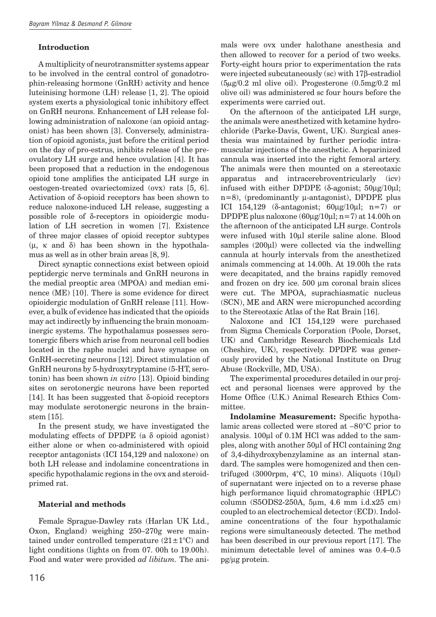### **Introduction**

A multiplicity of neurotransmitter systems appear to be involved in the central control of gonadotrophin-releasing hormone (GnRH) activity and hence luteinising hormone (LH) release [1, 2]. The opioid system exerts a physiological tonic inhibitory effect on GnRH neurons. Enhancement of LH release following administration of naloxone (an opioid antagonist) has been shown [3]. Conversely, administration of opioid agonists, just before the critical period on the day of pro-estrus, inhibits release of the preovulatory LH surge and hence ovulation [4]. It has been proposed that a reduction in the endogenous opioid tone amplifies the anticipated LH surge in oestogen-treated ovariectomized (ovx) rats [5, 6]. Activation of δ-opioid receptors has been shown to reduce naloxone-induced LH release, suggesting a possible role of δ-receptors in opioidergic modulation of LH secretion in women [7]. Existence of three major classes of opioid receptor subtypes  $(μ, κ and δ)$  has been shown in the hypothalamus as well as in other brain areas [8, 9].

Direct synaptic connections exist between opioid peptidergic nerve terminals and GnRH neurons in the medial preoptic area (MPOA) and median eminence (ME) [10]. There is some evidence for direct opioidergic modulation of GnRH release [11]. However, a bulk of evidence has indicated that the opioids may act indirectly by influencing the brain monoaminergic systems. The hypothalamus possesses serotonergic fibers which arise from neuronal cell bodies located in the raphe nuclei and have synapse on GnRH-secreting neurons [12]. Direct stimulation of GnRH neurons by 5-hydroxytryptamine (5-HT, serotonin) has been shown *in vitro* [13]. Opioid binding sites on serotonergic neurons have been reported [14]. It has been suggested that  $\delta$ -opioid receptors may modulate serotonergic neurons in the brainstem [15].

In the present study, we have investigated the modulating effects of DPDPE (a  $\delta$  opioid agonist) either alone or when co-administered with opioid receptor antagonists (ICI 154,129 and naloxone) on both LH release and indolamine concentrations in specific hypothalamic regions in the ovx and steroidprimed rat.

#### **Material and methods**

Female Sprague-Dawley rats (Harlan UK Ltd., Oxon, England) weighing 250–270g were maintained under controlled temperature  $(21 \pm 1^{\circ}C)$  and light conditions (lights on from 07. 00h to 19.00h). Food and water were provided *ad libitum.* The animals were ovx under halothane anesthesia and then allowed to recover for a period of two weeks. Forty-eight hours prior to experimentation the rats were injected subcutaneously (sc) with 17β-estradiol  $(5\mu g/0.2 \text{ ml})$  olive oil). Progesterone  $(0.5 \text{ mg}/0.2 \text{ ml})$ olive oil) was administered sc four hours before the experiments were carried out.

On the afternoon of the anticipated LH surge, the animals were anesthetized with ketamine hydrochloride (Parke-Davis, Gwent, UK). Surgical anesthesia was maintained by further periodic intramuscular injections of the anesthetic. A heparinized cannula was inserted into the right femoral artery. The animals were then mounted on a stereotaxic apparatus and intracerebroventricularly (icv) infused with either DPDPE (δ-agonist;  $50\mu$ g/10μl;  $n=8$ ), (predominantly  $\mu$ -antagonist), DPDPE plus ICI 154,129 ( $\delta$ -antagonist;  $60\mu$ g/10 $\mu$ l; n=7) or DPDPE plus naloxone  $(60\mu g/10\mu l; n=7)$  at 14.00h on the afternoon of the anticipated LH surge. Controls were infused with 10µl sterile saline alone. Blood samples (200µl) were collected via the indwelling cannula at hourly intervals from the anesthetized animals commencing at 14.00h. At 19.00h the rats were decapitated, and the brains rapidly removed and frozen on dry ice. 500 µm coronal brain slices were cut. The MPOA, suprachiasmatic nucleus (SCN), ME and ARN were micropunched according to the Stereotaxic Atlas of the Rat Brain [16].

Naloxone and ICI 154,129 were purchased from Sigma Chemicals Corporation (Poole, Dorset, UK) and Cambridge Research Biochemicals Ltd (Cheshire, UK), respectively. DPDPE was generously provided by the National Institute on Drug Abuse (Rockville, MD, USA).

The experimental procedures detailed in our project and personal licenses were approved by the Home Office (U.K.) Animal Research Ethics Committee.

**Indolamine Measurement:** Specific hypothalamic areas collected were stored at –80°C prior to analysis. 100µl of 0.1M HCl was added to the samples, along with another 50µl of HCl containing 2ng of 3,4-dihydroxybenzylamine as an internal standard. The samples were homogenized and then centrifuged  $(3000$ rpm,  $4^{\circ}$ C, 10 mins). Aliquots  $(10 \mu l)$ of supernatant were injected on to a reverse phase high performance liquid chromatographic (HPLC) column (S5ODS2-250A, 5µm, 4.6 mm i.d.x25 cm) coupled to an electrochemical detector (ECD). Indolamine concentrations of the four hypothalamic regions were simultaneously detected. The method has been described in our previous report [17]. The minimum detectable level of amines was 0.4–0.5 pg/µg protein.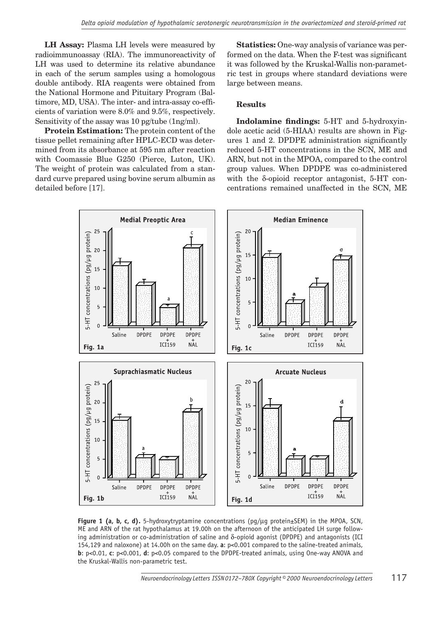**LH Assay:** Plasma LH levels were measured by radioimmunoassay (RIA). The immunoreactivity of LH was used to determine its relative abundance in each of the serum samples using a homologous double antibody. RIA reagents were obtained from the National Hormone and Pituitary Program (Baltimore, MD, USA). The inter- and intra-assay co-efficients of variation were 8.0% and 9.5%, respectively. Sensitivity of the assay was 10 pg/tube (1ng/ml).

**Protein Estimation:** The protein content of the tissue pellet remaining after HPLC-ECD was determined from its absorbance at 595 nm after reaction with Coomassie Blue G250 (Pierce, Luton, UK). The weight of protein was calculated from a standard curve prepared using bovine serum albumin as detailed before [17].

**Statistics:** One-way analysis of variance was performed on the data. When the F-test was significant it was followed by the Kruskal-Wallis non-parametric test in groups where standard deviations were large between means.

#### **Results**

**Indolamine findings:** 5-HT and 5-hydroxyindole acetic acid (5-HIAA) results are shown in Figures 1 and 2. DPDPE administration significantly reduced 5-HT concentrations in the SCN, ME and ARN, but not in the MPOA, compared to the control group values. When DPDPE was co-administered with the δ-opioid receptor antagonist, 5-HT concentrations remained unaffected in the SCN, ME



**Figure 1 (a, b, c, d).** 5-hydroxytryptamine concentrations (pg/µg protein±SEM) in the MPOA, SCN, ME and ARN of the rat hypothalamus at 19.00h on the afternoon of the anticipated LH surge following administration or co-administration of saline and  $\delta$ -opioid agonist (DPDPE) and antagonists (ICI 154,129 and naloxone) at 14.00h on the same day. **a**: p<0.001 compared to the saline-treated animals, **b**: p<0.01, **c**: p<0.001, **d**: p<0.05 compared to the DPDPE-treated animals, using One-way ANOVA and the Kruskal-Wallis non-parametric test.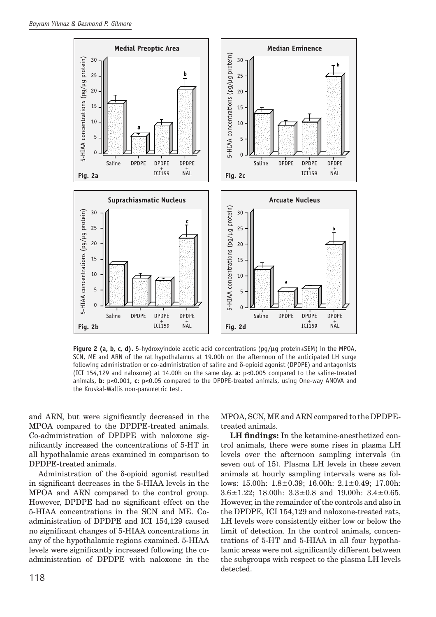

**Figure 2 (a, b, c, d).** 5-hydroxyindole acetic acid concentrations (pg/µg protein±SEM) in the MPOA, SCN, ME and ARN of the rat hypothalamus at 19.00h on the afternoon of the anticipated LH surge following administration or co-administration of saline and δ-opioid agonist (DPDPE) and antagonists (ICI 154,129 and naloxone) at 14.00h on the same day. **a**: p<0.005 compared to the saline-treated animals, **b**: p<0.001, **c**: p<0.05 compared to the DPDPE-treated animals, using One-way ANOVA and the Kruskal-Wallis non-parametric test.

and ARN, but were significantly decreased in the MPOA compared to the DPDPE-treated animals. Co-administration of DPDPE with naloxone significantly increased the concentrations of 5-HT in all hypothalamic areas examined in comparison to DPDPE-treated animals.

Administration of the δ-opioid agonist resulted in significant decreases in the 5-HIAA levels in the MPOA and ARN compared to the control group. However, DPDPE had no significant effect on the 5-HIAA concentrations in the SCN and ME. Coadministration of DPDPE and ICI 154,129 caused no significant changes of 5-HIAA concentrations in any of the hypothalamic regions examined. 5-HIAA levels were significantly increased following the coadministration of DPDPE with naloxone in the

MPOA, SCN, ME and ARN compared to the DPDPEtreated animals.

**LH findings:** In the ketamine-anesthetized control animals, there were some rises in plasma LH levels over the afternoon sampling intervals (in seven out of 15). Plasma LH levels in these seven animals at hourly sampling intervals were as follows: 15.00h: 1.8±0.39; 16.00h: 2.1±0.49; 17.00h: 3.6±1.22; 18.00h: 3.3±0.8 and 19.00h: 3.4±0.65. However, in the remainder of the controls and also in the DPDPE, ICI 154,129 and naloxone-treated rats, LH levels were consistently either low or below the limit of detection. In the control animals, concentrations of 5-HT and 5-HIAA in all four hypothalamic areas were not significantly different between the subgroups with respect to the plasma LH levels detected.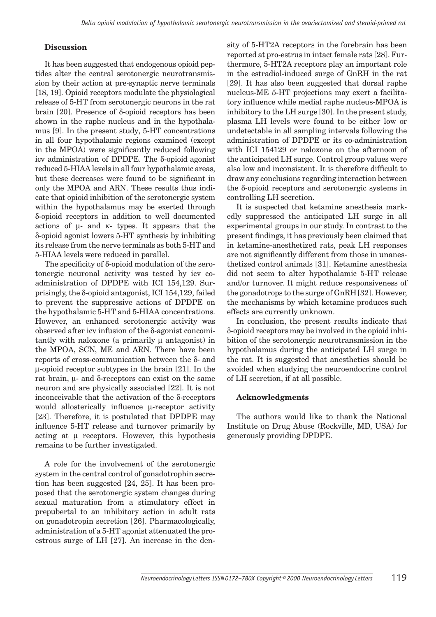#### **Discussion**

It has been suggested that endogenous opioid peptides alter the central serotonergic neurotransmission by their action at pre-synaptic nerve terminals [18, 19]. Opioid receptors modulate the physiological release of 5-HT from serotonergic neurons in the rat brain [20]. Presence of δ-opioid receptors has been shown in the raphe nucleus and in the hypothalamus [9]. In the present study, 5-HT concentrations in all four hypothalamic regions examined (except in the MPOA) were significantly reduced following icv administration of DPDPE. The δ-opioid agonist reduced 5-HIAA levels in all four hypothalamic areas, but these decreases were found to be significant in only the MPOA and ARN. These results thus indicate that opioid inhibition of the serotonergic system within the hypothalamus may be exerted through δ-opioid receptors in addition to well documented actions of  $\mu$ - and  $\kappa$ - types. It appears that the δ-opioid agonist lowers 5-HT synthesis by inhibiting its release from the nerve terminals as both 5-HT and 5-HIAA levels were reduced in parallel.

The specificity of  $\delta$ -opioid modulation of the serotonergic neuronal activity was tested by icv coadministration of DPDPE with ICI 154,129. Surprisingly, the δ-opioid antagonist, ICI 154,129, failed to prevent the suppressive actions of DPDPE on the hypothalamic 5-HT and 5-HIAA concentrations. However, an enhanced serotonergic activity was observed after icv infusion of the δ-agonist concomitantly with naloxone (a primarily  $\mu$  antagonist) in the MPOA, SCN, ME and ARN. There have been reports of cross-communication between the δ- and µ-opioid receptor subtypes in the brain [21]. In the rat brain, µ- and δ-receptors can exist on the same neuron and are physically associated [22]. It is not inconceivable that the activation of the δ-receptors would allosterically influence  $\mu$ -receptor activity [23]. Therefore, it is postulated that DPDPE may influence 5-HT release and turnover primarily by acting at  $\mu$  receptors. However, this hypothesis remains to be further investigated.

A role for the involvement of the serotonergic system in the central control of gonadotrophin secretion has been suggested [24, 25]. It has been proposed that the serotonergic system changes during sexual maturation from a stimulatory effect in prepubertal to an inhibitory action in adult rats on gonadotropin secretion [26]. Pharmacologically, administration of a 5-HT agonist attenuated the proestrous surge of LH [27]. An increase in the density of 5-HT2A receptors in the forebrain has been reported at pro-estrus in intact female rats [28]. Furthermore, 5-HT2A receptors play an important role in the estradiol-induced surge of GnRH in the rat [29]. It has also been suggested that dorsal raphe nucleus-ME 5-HT projections may exert a facilitatory influence while medial raphe nucleus-MPOA is inhibitory to the LH surge [30]. In the present study, plasma LH levels were found to be either low or undetectable in all sampling intervals following the administration of DPDPE or its co-administration with ICI 154129 or naloxone on the afternoon of the anticipated LH surge. Control group values were also low and inconsistent. It is therefore difficult to draw any conclusions regarding interaction between the δ-opioid receptors and serotonergic systems in controlling LH secretion.

It is suspected that ketamine anesthesia markedly suppressed the anticipated LH surge in all experimental groups in our study. In contrast to the present findings, it has previously been claimed that in ketamine-anesthetized rats, peak LH responses are not significantly different from those in unanesthetized control animals [31]. Ketamine anesthesia did not seem to alter hypothalamic 5-HT release and/or turnover. It might reduce responsiveness of the gonadotrops to the surge of GnRH[32]. However, the mechanisms by which ketamine produces such effects are currently unknown.

In conclusion, the present results indicate that δ-opioid receptors may be involved in the opioid inhibition of the serotonergic neurotransmission in the hypothalamus during the anticipated LH surge in the rat. It is suggested that anesthetics should be avoided when studying the neuroendocrine control of LH secretion, if at all possible.

#### **Acknowledgments**

The authors would like to thank the National Institute on Drug Abuse (Rockville, MD, USA) for generously providing DPDPE.